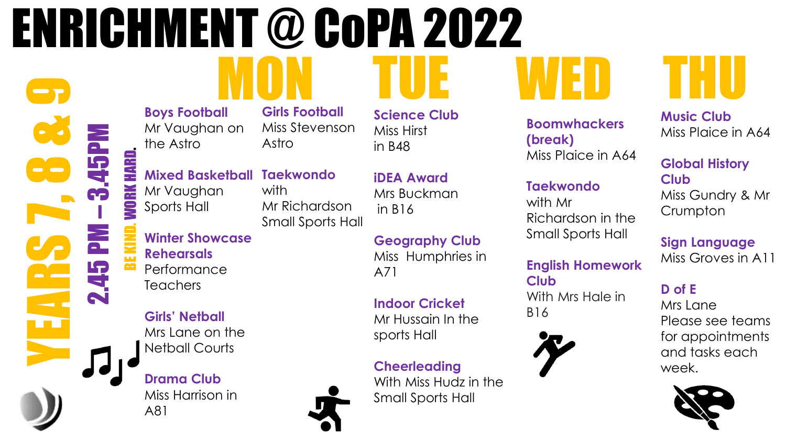## MON TUE WED THU ENRICHMENT @ CoPA 2022

with

**Boys Football** Mr Vaughan on the Astro

**Girls Football**  Miss Stevenson Astro

Mr Richardson

Small Sports Hall

**Mixed Basketball Taekwondo**  Mr Vaughan Sports Hall BE KIND. WORK HARD.

**Winter Showcase Rehearsals** Performance **Teachers** 

2.45 PM

**PRESERVED** 

– 3.45PM

**Girls' Netball**  Mrs Lane on the Netball Courts

**Drama Club** Miss Harrison in A81

Mrs Buckman in B16

**iDEA Award**

**Science Club**

Miss Hirst

in B48

**Geography Club** Miss Humphries in A71

**Indoor Cricket**  Mr Hussain In the sports Hall

**Cheerleading**  With Miss Hudz in the Small Sports Hall

**Boomwhackers (break)** Miss Plaice in A64

### **Taekwondo**

with Mr Richardson in the Small Sports Hall

#### **English Homework Club** With Mrs Hale in B16



**Music Club** Miss Plaice in A64

#### **Global History Club**

Miss Gundry & Mr **Crumpton** 

### **Sign Language**

Miss Groves in A11

### **D of E**

Mrs Lane Please see teams for appointments and tasks each week.